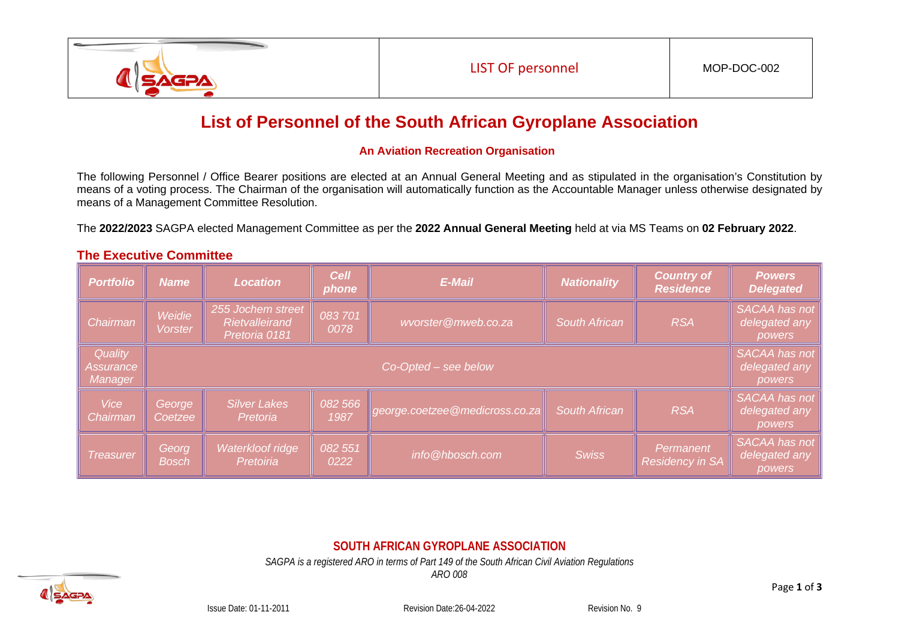

# **List of Personnel of the South African Gyroplane Association**

#### **An Aviation Recreation Organisation**

The following Personnel / Office Bearer positions are elected at an Annual General Meeting and as stipulated in the organisation's Constitution by means of a voting process. The Chairman of the organisation will automatically function as the Accountable Manager unless otherwise designated by means of a Management Committee Resolution.

The **2022/2023** SAGPA elected Management Committee as per the **2022 Annual General Meeting** held at via MS Teams on **02 February 2022**.

|  |  |  | <b>The Executive Committee</b> |
|--|--|--|--------------------------------|
|--|--|--|--------------------------------|

| <b>Portfolio</b>                | <b>Name</b>              | <b>Location</b>                                      | <b>Cell</b><br>phone | <b>E-Mail</b>                  | <b>Nationality</b>   | <b>Country of</b><br><b>Residence</b> | <b>Powers</b><br><b>Delegated</b>        |  |
|---------------------------------|--------------------------|------------------------------------------------------|----------------------|--------------------------------|----------------------|---------------------------------------|------------------------------------------|--|
| Chairman                        | Weidie<br><b>Vorster</b> | 255 Jochem street<br>Rietvalleirand<br>Pretoria 0181 | 083701<br>0078       | wvorster@mweb.co.za            | <b>South African</b> | <b>RSA</b>                            | SACAA has not<br>delegated any<br>powers |  |
| Quality<br>Assurance<br>Manager | $Co-Opted - see below$   |                                                      |                      |                                |                      |                                       |                                          |  |
| <b>Vice</b><br>Chairman         | George<br>Coetzee        | <b>Silver Lakes</b><br>Pretoria                      | 082 566<br>1987      | george.coetzee@medicross.co.za | <b>South African</b> | <b>RSA</b>                            | SACAA has not<br>delegated any<br>powers |  |
| Treasurer                       | Georg<br><b>Bosch</b>    | Waterkloof ridge<br>Pretoiria                        | 082 551<br>0222      | info@hbosch.com                | <b>Swiss</b>         | Permanent<br><b>Residency in SA</b>   | SACAA has not<br>delegated any<br>powers |  |

## **SOUTH AFRICAN GYROPLANE ASSOCIATION**

*SAGPA is a registered ARO in terms of Part 149 of the South African Civil Aviation Regulations*

*ARO 008*



Issue Date: 01-11-2011 Revision Date:26-04-2022 Revision No. 9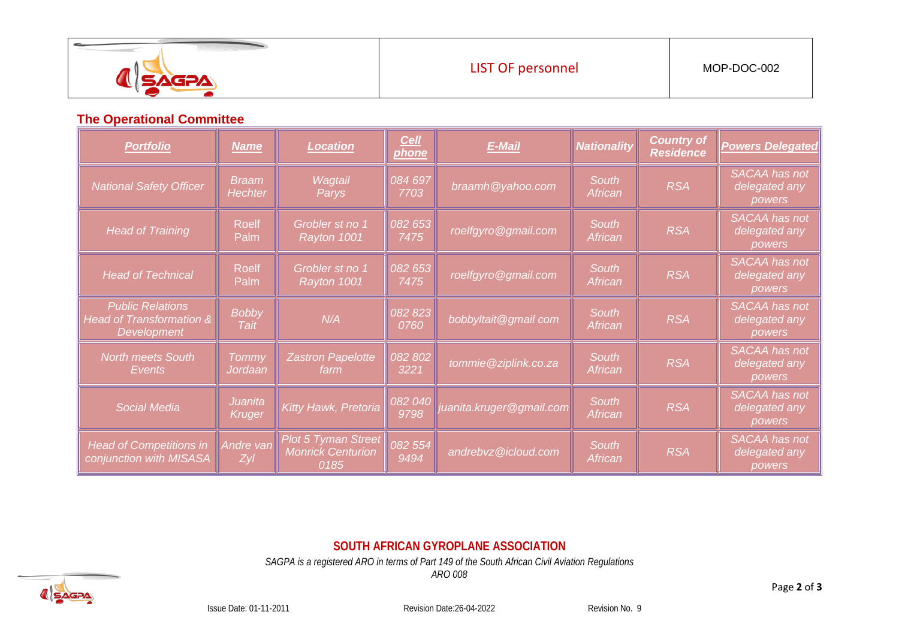| w<br><b>AREA</b> | <b>LIST OF personnel</b> | MOP-DOC-002 |
|------------------|--------------------------|-------------|
|                  |                          |             |

#### **The Operational Committee**

| <b>Portfolio</b>                                                   | <b>Name</b>                     | <b>Location</b>                                                | <b>Cell</b><br><b>phone</b> | <b>E-Mail</b>           | <b>Nationality</b>      | <b>Country of</b><br><b>Residence</b> | <b>Powers Delegated</b>                         |
|--------------------------------------------------------------------|---------------------------------|----------------------------------------------------------------|-----------------------------|-------------------------|-------------------------|---------------------------------------|-------------------------------------------------|
| <b>National Safety Officer</b>                                     | <b>Braam</b><br>Hechter         | Wagtail<br>Parys                                               | 084 697<br>7703             | braamh@yahoo.com        | South<br>African        | <b>RSA</b>                            | <b>SACAA</b> has not<br>delegated any<br>powers |
| <b>Head of Training</b>                                            | <b>Roelf</b><br>Palm            | Grobler st no 1<br>Rayton 1001                                 | 082 653<br>7475             | roelfgyro@gmail.com     | South<br>African        | <b>RSA</b>                            | <b>SACAA</b> has not<br>delegated any<br>powers |
| <b>Head of Technical</b>                                           | <b>Roelf</b><br>Palm            | Grobler st no 1<br>Rayton 1001                                 | 082 653<br>7475             | roelfgyro@gmail.com     | South<br>African        | <b>RSA</b>                            | <b>SACAA</b> has not<br>delegated any<br>powers |
| <b>Public Relations</b><br>Head of Transformation &<br>Development | <b>Bobby</b><br>Tait            | N/A                                                            | 082 823<br>0760             | bobbyltait@gmail com    | <b>South</b><br>African | <b>RSA</b>                            | <b>SACAA</b> has not<br>delegated any<br>powers |
| <b>North meets South</b><br><b>Events</b>                          | Tommy<br>Jordaan                | <b>Zastron Papelotte</b><br>farm                               | 082 802<br>3221             | tommie@ziplink.co.za    | <b>South</b><br>African | <b>RSA</b>                            | <b>SACAA</b> has not<br>delegated any<br>powers |
| <b>Social Media</b>                                                | <b>Juanita</b><br><b>Kruger</b> | Kitty Hawk, Pretoria                                           | 082 040<br>9798             | uanita.kruger@gmail.com | <b>South</b><br>African | <b>RSA</b>                            | <b>SACAA</b> has not<br>delegated any<br>powers |
| <b>Head of Competitions in</b><br>conjunction with MISASA          | Andre van<br><b>Zyl</b>         | <b>Plot 5 Tyman Street</b><br><b>Monrick Centurion</b><br>0185 | 082 554<br>9494             | andrebvz@icloud.com     | <b>South</b><br>African | <b>RSA</b>                            | <b>SACAA</b> has not<br>delegated any<br>powers |

### **SOUTH AFRICAN GYROPLANE ASSOCIATION**

*SAGPA is a registered ARO in terms of Part 149 of the South African Civil Aviation Regulations*

*ARO 008*



Issue Date: 01-11-2011 Revision Date:26-04-2022 Revision No. 9